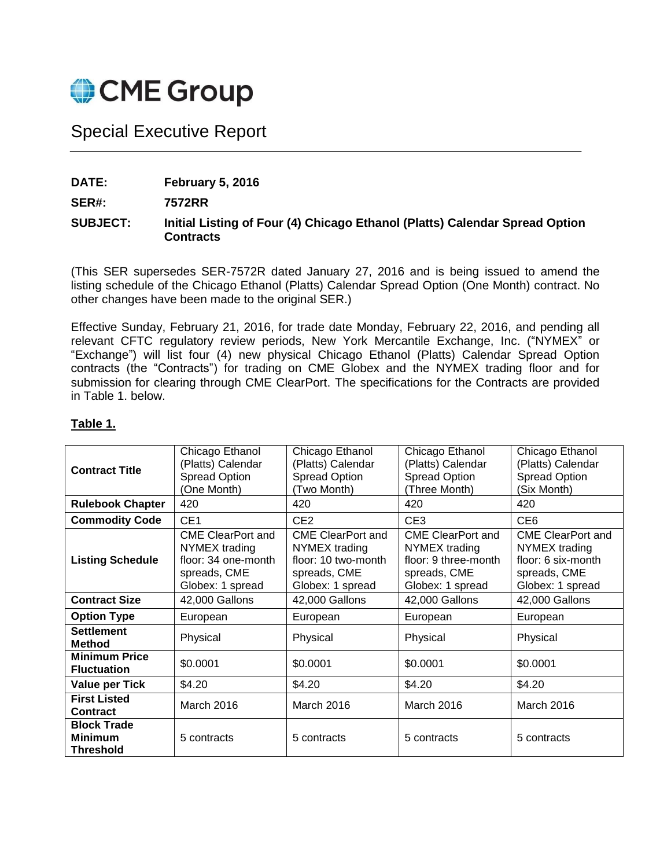

# Special Executive Report

**DATE: February 5, 2016**

**SER#: 7572RR**

## **SUBJECT: Initial Listing of Four (4) Chicago Ethanol (Platts) Calendar Spread Option Contracts**

(This SER supersedes SER-7572R dated January 27, 2016 and is being issued to amend the listing schedule of the Chicago Ethanol (Platts) Calendar Spread Option (One Month) contract. No other changes have been made to the original SER.)

Effective Sunday, February 21, 2016, for trade date Monday, February 22, 2016, and pending all relevant CFTC regulatory review periods, New York Mercantile Exchange, Inc. ("NYMEX" or "Exchange") will list four (4) new physical Chicago Ethanol (Platts) Calendar Spread Option contracts (the "Contracts") for trading on CME Globex and the NYMEX trading floor and for submission for clearing through CME ClearPort. The specifications for the Contracts are provided in Table 1. below.

## **Table 1.**

| <b>Contract Title</b>                                    | Chicago Ethanol<br>(Platts) Calendar<br><b>Spread Option</b><br>(One Month)                          | Chicago Ethanol<br>(Platts) Calendar<br><b>Spread Option</b><br>(Two Month)                          | Chicago Ethanol<br>(Platts) Calendar<br>Spread Option<br>(Three Month)                                | Chicago Ethanol<br>(Platts) Calendar<br><b>Spread Option</b><br>(Six Month)                         |
|----------------------------------------------------------|------------------------------------------------------------------------------------------------------|------------------------------------------------------------------------------------------------------|-------------------------------------------------------------------------------------------------------|-----------------------------------------------------------------------------------------------------|
| <b>Rulebook Chapter</b>                                  | 420                                                                                                  | 420                                                                                                  | 420                                                                                                   | 420                                                                                                 |
| <b>Commodity Code</b>                                    | CE <sub>1</sub>                                                                                      | CE <sub>2</sub>                                                                                      | CE <sub>3</sub>                                                                                       | CE <sub>6</sub>                                                                                     |
| <b>Listing Schedule</b>                                  | <b>CME ClearPort and</b><br>NYMEX trading<br>floor: 34 one-month<br>spreads, CME<br>Globex: 1 spread | <b>CME ClearPort and</b><br>NYMEX trading<br>floor: 10 two-month<br>spreads, CME<br>Globex: 1 spread | <b>CME ClearPort and</b><br>NYMEX trading<br>floor: 9 three-month<br>spreads, CME<br>Globex: 1 spread | <b>CME ClearPort and</b><br>NYMEX trading<br>floor: 6 six-month<br>spreads, CME<br>Globex: 1 spread |
| <b>Contract Size</b>                                     | 42,000 Gallons                                                                                       | 42,000 Gallons                                                                                       | 42,000 Gallons                                                                                        | 42,000 Gallons                                                                                      |
| <b>Option Type</b>                                       | European                                                                                             | European                                                                                             | European                                                                                              | European                                                                                            |
| <b>Settlement</b><br><b>Method</b>                       | Physical                                                                                             | Physical                                                                                             | Physical                                                                                              | Physical                                                                                            |
| <b>Minimum Price</b><br><b>Fluctuation</b>               | \$0.0001                                                                                             | \$0.0001                                                                                             | \$0.0001                                                                                              | \$0.0001                                                                                            |
| <b>Value per Tick</b>                                    | \$4.20                                                                                               | \$4.20                                                                                               | \$4.20                                                                                                | \$4.20                                                                                              |
| <b>First Listed</b><br><b>Contract</b>                   | March 2016                                                                                           | March 2016                                                                                           | March 2016                                                                                            | March 2016                                                                                          |
| <b>Block Trade</b><br><b>Minimum</b><br><b>Threshold</b> | 5 contracts                                                                                          | 5 contracts                                                                                          | 5 contracts                                                                                           | 5 contracts                                                                                         |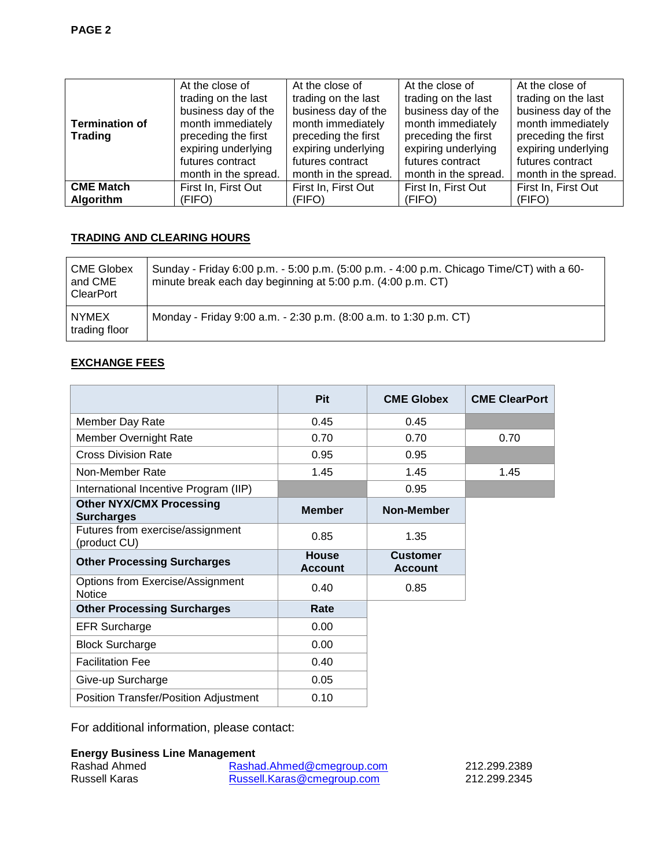|                       | At the close of      | At the close of      | At the close of      | At the close of      |
|-----------------------|----------------------|----------------------|----------------------|----------------------|
|                       | trading on the last  | trading on the last  | trading on the last  | trading on the last  |
|                       | business day of the  | business day of the  | business day of the  | business day of the  |
| <b>Termination of</b> | month immediately    | month immediately    | month immediately    | month immediately    |
| <b>Trading</b>        | preceding the first  | preceding the first  | preceding the first  | preceding the first  |
|                       | expiring underlying  | expiring underlying  | expiring underlying  | expiring underlying  |
|                       | futures contract     | futures contract     | futures contract     | futures contract     |
|                       | month in the spread. | month in the spread. | month in the spread. | month in the spread. |
| <b>CME Match</b>      | First In, First Out  | First In, First Out  | First In, First Out  | First In, First Out  |
| Algorithm             | (FIFO)               | (FIFO)               | (FIFO)               | (FIFO)               |

## **TRADING AND CLEARING HOURS**

| CME Globex<br>and CME<br>ClearPort | Sunday - Friday 6:00 p.m. - 5:00 p.m. (5:00 p.m. - 4:00 p.m. Chicago Time/CT) with a 60-<br>minute break each day beginning at 5:00 p.m. (4:00 p.m. CT) |
|------------------------------------|---------------------------------------------------------------------------------------------------------------------------------------------------------|
| I NYMEX<br>trading floor           | Monday - Friday 9:00 a.m. - 2:30 p.m. (8:00 a.m. to 1:30 p.m. CT)                                                                                       |

## **EXCHANGE FEES**

|                                                      | <b>Pit</b>                     | <b>CME Globex</b>                 | <b>CME ClearPort</b> |
|------------------------------------------------------|--------------------------------|-----------------------------------|----------------------|
| Member Day Rate                                      | 0.45                           | 0.45                              |                      |
| <b>Member Overnight Rate</b>                         | 0.70                           | 0.70                              | 0.70                 |
| <b>Cross Division Rate</b>                           | 0.95                           | 0.95                              |                      |
| Non-Member Rate                                      | 1.45                           | 1.45                              | 1.45                 |
| International Incentive Program (IIP)                |                                | 0.95                              |                      |
| <b>Other NYX/CMX Processing</b><br><b>Surcharges</b> | <b>Member</b>                  | Non-Member                        |                      |
| Futures from exercise/assignment<br>(product CU)     | 0.85                           | 1.35                              |                      |
| <b>Other Processing Surcharges</b>                   | <b>House</b><br><b>Account</b> | <b>Customer</b><br><b>Account</b> |                      |
| Options from Exercise/Assignment<br><b>Notice</b>    | 0.40                           | 0.85                              |                      |
| <b>Other Processing Surcharges</b>                   | Rate                           |                                   |                      |
| <b>EFR Surcharge</b>                                 | 0.00                           |                                   |                      |
| <b>Block Surcharge</b>                               | 0.00                           |                                   |                      |
| <b>Facilitation Fee</b>                              | 0.40                           |                                   |                      |
| Give-up Surcharge                                    | 0.05                           |                                   |                      |
| Position Transfer/Position Adjustment                | 0.10                           |                                   |                      |

For additional information, please contact:

#### **Energy Business Line Management**

| Rashad Ahmed  | Rashad.Ahmed@cmegroup.com  | 212.299.2389 |
|---------------|----------------------------|--------------|
| Russell Karas | Russell.Karas@cmegroup.com | 212.299.2345 |